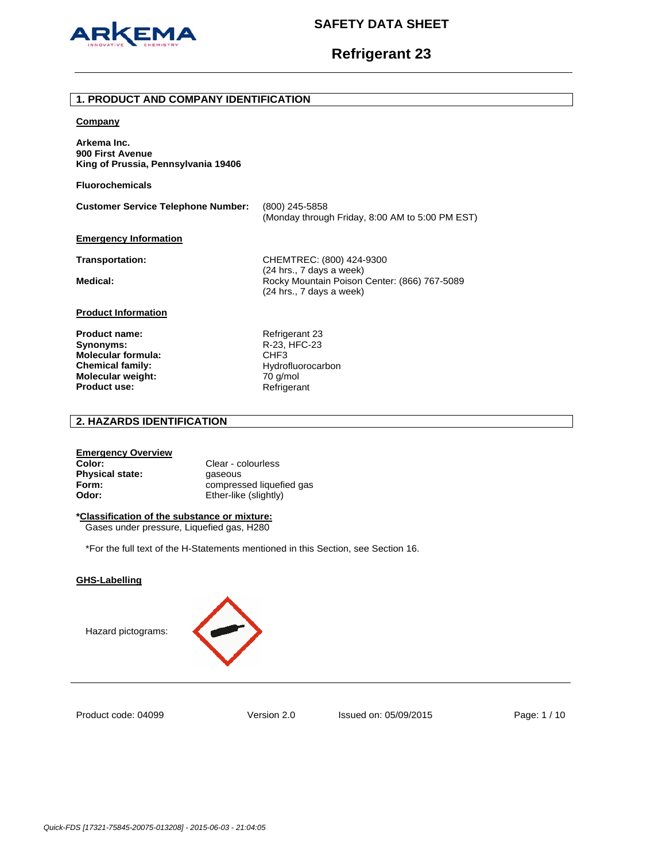

# **Refrigerant 23**

### **1. PRODUCT AND COMPANY IDENTIFICATION**

#### **Company**

**Arkema Inc. 900 First Avenue King of Prussia, Pennsylvania 19406** 

**Fluorochemicals**

**Customer Service Telephone Number:** (800) 245-5858 (Monday through Friday, 8:00 AM to 5:00 PM EST)

### **Emergency Information**

**Transportation:** CHEMTREC: (800) 424-9300 (24 hrs., 7 days a week) Medical: **Medical: Rocky Mountain Poison Center: (866) 767-5089** (24 hrs., 7 days a week)

## **Product Information**

**Product name:** Refrigerant 23 **Synonyms:** R-23, HFC-23 **Molecular formula:** CHF3 **Chemical family:** Hydrofluorocarbon **Molecular weight:** 70 g/mol<br>**Product use:** Refrigerant **Product use:** 

## **2. HAZARDS IDENTIFICATION**

#### **Emergency Overview**

**Color:** Clear - colourless **Physical state: gaseous Odor:** Ether-like (slightly)

**Form: COMPRESSED FORM: COMPRESSED FORMS** 

### **\*Classification of the substance or mixture:**

Gases under pressure, Liquefied gas, H280

\*For the full text of the H-Statements mentioned in this Section, see Section 16.

### **GHS-Labelling**





Product code: 04099

Version 2.0 Issued on: 05/09/2015 Page: 1 / 10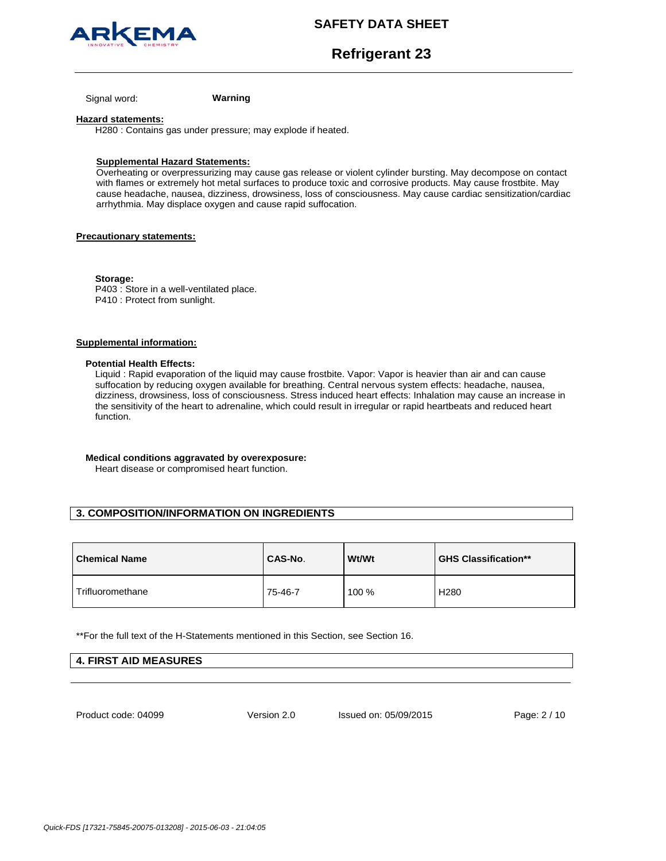



**Refrigerant 23**

Signal word: **Warning**

#### **Hazard statements:**

H280 : Contains gas under pressure; may explode if heated.

### **Supplemental Hazard Statements:**

Overheating or overpressurizing may cause gas release or violent cylinder bursting. May decompose on contact with flames or extremely hot metal surfaces to produce toxic and corrosive products. May cause frostbite. May cause headache, nausea, dizziness, drowsiness, loss of consciousness. May cause cardiac sensitization/cardiac arrhythmia. May displace oxygen and cause rapid suffocation.

## **Precautionary statements:**

**Storage:**  P403 : Store in a well-ventilated place. P410 : Protect from sunlight.

## **Supplemental information:**

#### **Potential Health Effects:**

Liquid : Rapid evaporation of the liquid may cause frostbite. Vapor: Vapor is heavier than air and can cause suffocation by reducing oxygen available for breathing. Central nervous system effects: headache, nausea, dizziness, drowsiness, loss of consciousness. Stress induced heart effects: Inhalation may cause an increase in the sensitivity of the heart to adrenaline, which could result in irregular or rapid heartbeats and reduced heart function.

### **Medical conditions aggravated by overexposure:**

Heart disease or compromised heart function.

## **3. COMPOSITION/INFORMATION ON INGREDIENTS**

| <b>Chemical Name</b> | CAS-No. | <b>Wt/Wt</b> | <b>GHS Classification**</b> |
|----------------------|---------|--------------|-----------------------------|
| Trifluoromethane     | 75-46-7 | 100 %        | H <sub>280</sub>            |

\*\*For the full text of the H-Statements mentioned in this Section, see Section 16.

| <b>4. FIRST AID MEASURES</b> |  |
|------------------------------|--|
|                              |  |

Product code: 04099

Version 2.0 Issued on: 05/09/2015 Page: 2 / 10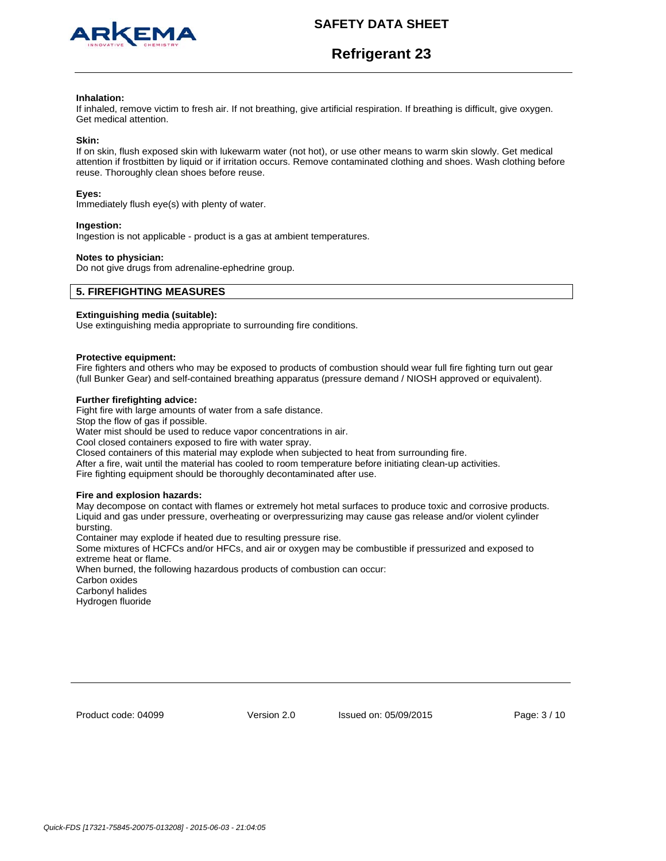

# **Refrigerant 23**

#### **Inhalation:**

If inhaled, remove victim to fresh air. If not breathing, give artificial respiration. If breathing is difficult, give oxygen. Get medical attention.

#### **Skin:**

If on skin, flush exposed skin with lukewarm water (not hot), or use other means to warm skin slowly. Get medical attention if frostbitten by liquid or if irritation occurs. Remove contaminated clothing and shoes. Wash clothing before reuse. Thoroughly clean shoes before reuse.

#### **Eyes:**

Immediately flush eye(s) with plenty of water.

#### **Ingestion:**

Ingestion is not applicable - product is a gas at ambient temperatures.

#### **Notes to physician:**

Do not give drugs from adrenaline-ephedrine group.

## **5. FIREFIGHTING MEASURES**

### **Extinguishing media (suitable):**

Use extinguishing media appropriate to surrounding fire conditions.

#### **Protective equipment:**

Fire fighters and others who may be exposed to products of combustion should wear full fire fighting turn out gear (full Bunker Gear) and self-contained breathing apparatus (pressure demand / NIOSH approved or equivalent).

#### **Further firefighting advice:**

Fight fire with large amounts of water from a safe distance.

Stop the flow of gas if possible.

Water mist should be used to reduce vapor concentrations in air.

Cool closed containers exposed to fire with water spray.

Closed containers of this material may explode when subjected to heat from surrounding fire.

After a fire, wait until the material has cooled to room temperature before initiating clean-up activities.

Fire fighting equipment should be thoroughly decontaminated after use.

#### **Fire and explosion hazards:**

May decompose on contact with flames or extremely hot metal surfaces to produce toxic and corrosive products. Liquid and gas under pressure, overheating or overpressurizing may cause gas release and/or violent cylinder bursting.

Container may explode if heated due to resulting pressure rise.

Some mixtures of HCFCs and/or HFCs, and air or oxygen may be combustible if pressurized and exposed to extreme heat or flame.

When burned, the following hazardous products of combustion can occur:

Carbon oxides

Carbonyl halides Hydrogen fluoride

Product code: 04099

Version 2.0 Issued on: 05/09/2015 Page: 3 / 10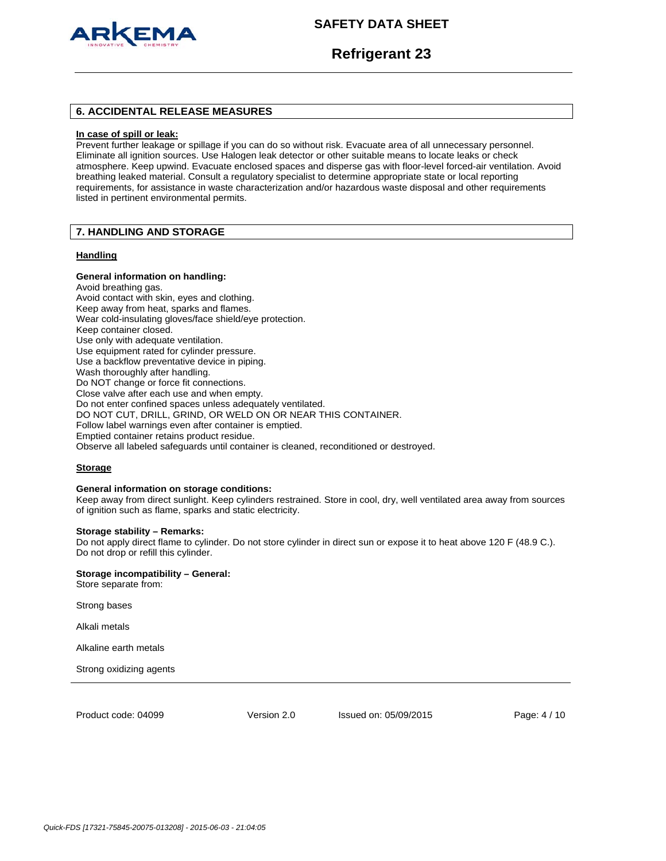

## **Refrigerant 23**

## **6. ACCIDENTAL RELEASE MEASURES**

#### **In case of spill or leak:**

Prevent further leakage or spillage if you can do so without risk. Evacuate area of all unnecessary personnel. Eliminate all ignition sources. Use Halogen leak detector or other suitable means to locate leaks or check atmosphere. Keep upwind. Evacuate enclosed spaces and disperse gas with floor-level forced-air ventilation. Avoid breathing leaked material. Consult a regulatory specialist to determine appropriate state or local reporting requirements, for assistance in waste characterization and/or hazardous waste disposal and other requirements listed in pertinent environmental permits.

## **7. HANDLING AND STORAGE**

#### **Handling**

### **General information on handling:**

Avoid breathing gas. Avoid contact with skin, eyes and clothing. Keep away from heat, sparks and flames. Wear cold-insulating gloves/face shield/eye protection. Keep container closed. Use only with adequate ventilation. Use equipment rated for cylinder pressure. Use a backflow preventative device in piping. Wash thoroughly after handling. Do NOT change or force fit connections. Close valve after each use and when empty. Do not enter confined spaces unless adequately ventilated. DO NOT CUT, DRILL, GRIND, OR WELD ON OR NEAR THIS CONTAINER. Follow label warnings even after container is emptied. Emptied container retains product residue. Observe all labeled safeguards until container is cleaned, reconditioned or destroyed.

#### **Storage**

#### **General information on storage conditions:**

Keep away from direct sunlight. Keep cylinders restrained. Store in cool, dry, well ventilated area away from sources of ignition such as flame, sparks and static electricity.

## **Storage stability – Remarks:**

Do not apply direct flame to cylinder. Do not store cylinder in direct sun or expose it to heat above 120 F (48.9 C.). Do not drop or refill this cylinder.

## **Storage incompatibility – General:**

Store separate from:

Strong bases

Alkali metals

Alkaline earth metals

Strong oxidizing agents

Product code: 04099

Version 2.0 Issued on: 05/09/2015 Page: 4 / 10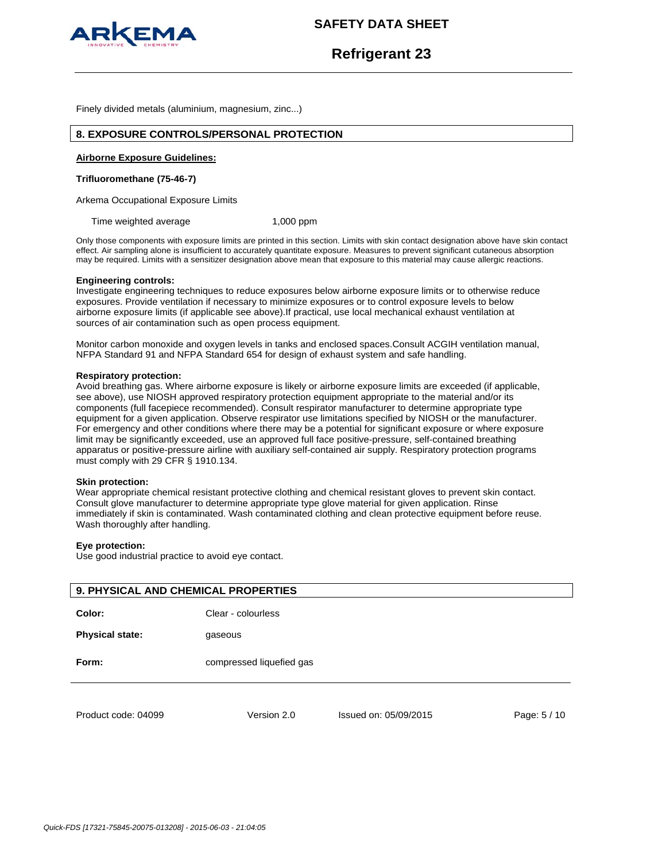

## **Refrigerant 23**

Finely divided metals (aluminium, magnesium, zinc...)

## **8. EXPOSURE CONTROLS/PERSONAL PROTECTION**

#### **Airborne Exposure Guidelines:**

#### **Trifluoromethane (75-46-7)**

Arkema Occupational Exposure Limits

Time weighted average 1,000 ppm

Only those components with exposure limits are printed in this section. Limits with skin contact designation above have skin contact effect. Air sampling alone is insufficient to accurately quantitate exposure. Measures to prevent significant cutaneous absorption may be required. Limits with a sensitizer designation above mean that exposure to this material may cause allergic reactions.

#### **Engineering controls:**

Investigate engineering techniques to reduce exposures below airborne exposure limits or to otherwise reduce exposures. Provide ventilation if necessary to minimize exposures or to control exposure levels to below airborne exposure limits (if applicable see above).If practical, use local mechanical exhaust ventilation at sources of air contamination such as open process equipment.

Monitor carbon monoxide and oxygen levels in tanks and enclosed spaces.Consult ACGIH ventilation manual, NFPA Standard 91 and NFPA Standard 654 for design of exhaust system and safe handling.

#### **Respiratory protection:**

Avoid breathing gas. Where airborne exposure is likely or airborne exposure limits are exceeded (if applicable, see above), use NIOSH approved respiratory protection equipment appropriate to the material and/or its components (full facepiece recommended). Consult respirator manufacturer to determine appropriate type equipment for a given application. Observe respirator use limitations specified by NIOSH or the manufacturer. For emergency and other conditions where there may be a potential for significant exposure or where exposure limit may be significantly exceeded, use an approved full face positive-pressure, self-contained breathing apparatus or positive-pressure airline with auxiliary self-contained air supply. Respiratory protection programs must comply with 29 CFR § 1910.134.

#### **Skin protection:**

Wear appropriate chemical resistant protective clothing and chemical resistant gloves to prevent skin contact. Consult glove manufacturer to determine appropriate type glove material for given application. Rinse immediately if skin is contaminated. Wash contaminated clothing and clean protective equipment before reuse. Wash thoroughly after handling.

### **Eye protection:**

Use good industrial practice to avoid eye contact.

| <b>9. PHYSICAL AND CHEMICAL PROPERTIES</b> |                          |                       |              |
|--------------------------------------------|--------------------------|-----------------------|--------------|
| Color:                                     | Clear - colourless       |                       |              |
| <b>Physical state:</b>                     | gaseous                  |                       |              |
| Form:                                      | compressed liquefied gas |                       |              |
| Product code: 04099                        | Version 2.0              | Issued on: 05/09/2015 | Page: 5 / 10 |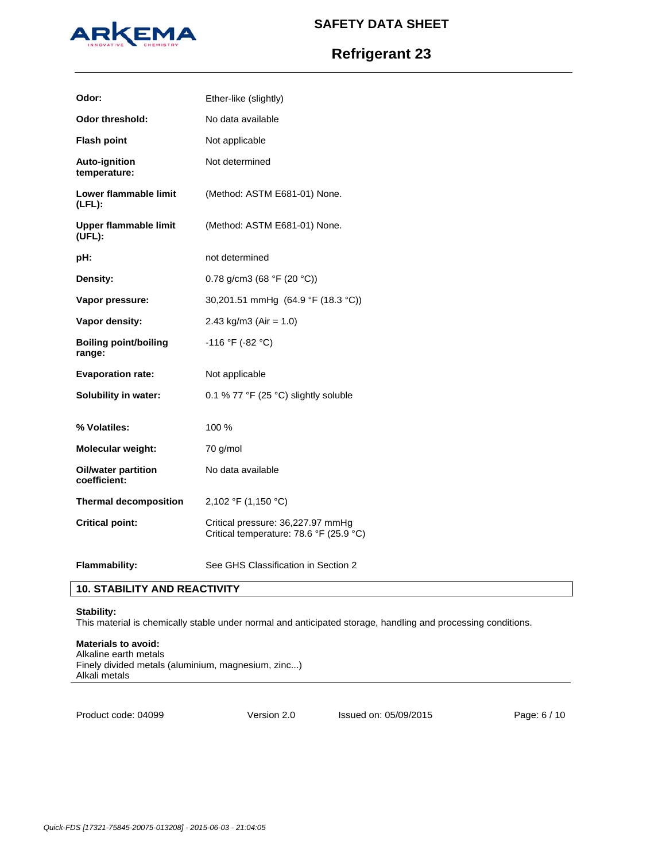

# **Refrigerant 23**

| Odor:                                  | Ether-like (slightly)                                                        |
|----------------------------------------|------------------------------------------------------------------------------|
| <b>Odor threshold:</b>                 | No data available                                                            |
| <b>Flash point</b>                     | Not applicable                                                               |
| <b>Auto-ignition</b><br>temperature:   | Not determined                                                               |
| Lower flammable limit<br>$(LFL)$ :     | (Method: ASTM E681-01) None.                                                 |
| Upper flammable limit<br>(UEL):        | (Method: ASTM E681-01) None.                                                 |
| pH:                                    | not determined                                                               |
| Density:                               | 0.78 g/cm3 (68 °F (20 °C))                                                   |
| Vapor pressure:                        | 30,201.51 mmHg (64.9 °F (18.3 °C))                                           |
| Vapor density:                         | 2.43 kg/m3 (Air = $1.0$ )                                                    |
| <b>Boiling point/boiling</b><br>range: | $-116$ °F (-82 °C)                                                           |
| <b>Evaporation rate:</b>               | Not applicable                                                               |
| <b>Solubility in water:</b>            | 0.1 % 77 °F (25 °C) slightly soluble                                         |
|                                        |                                                                              |
| % Volatiles:                           | 100 %                                                                        |
| <b>Molecular weight:</b>               | 70 g/mol                                                                     |
| Oil/water partition<br>coefficient:    | No data available                                                            |
| <b>Thermal decomposition</b>           | 2,102 °F (1,150 °C)                                                          |
| <b>Critical point:</b>                 | Critical pressure: 36,227.97 mmHg<br>Critical temperature: 78.6 °F (25.9 °C) |

## **10. STABILITY AND REACTIVITY**

## **Stability:**

This material is chemically stable under normal and anticipated storage, handling and processing conditions.

## **Materials to avoid:**

Alkaline earth metals Finely divided metals (aluminium, magnesium, zinc...) Alkali metals

Product code: 04099

Version 2.0 Issued on: 05/09/2015 Page: 6 / 10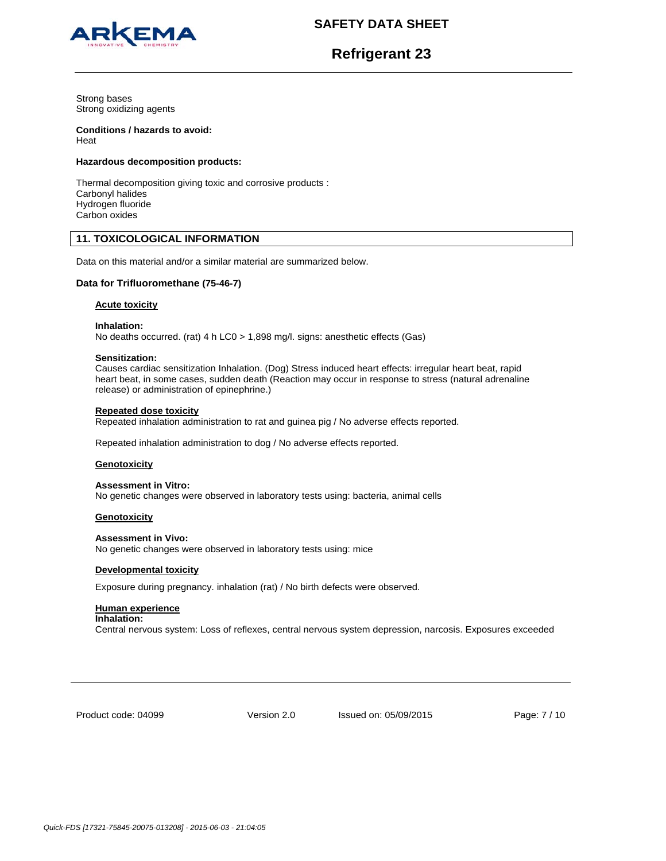



**Refrigerant 23**

Strong bases Strong oxidizing agents

# **Conditions / hazards to avoid:**

Heat

## **Hazardous decomposition products:**

Thermal decomposition giving toxic and corrosive products : Carbonyl halides Hydrogen fluoride Carbon oxides

## **11. TOXICOLOGICAL INFORMATION**

Data on this material and/or a similar material are summarized below.

## **Data for Trifluoromethane (75-46-7)**

## **Acute toxicity**

**Inhalation:** 

No deaths occurred. (rat) 4 h LC0 > 1,898 mg/l. signs: anesthetic effects (Gas)

### **Sensitization:**

Causes cardiac sensitization Inhalation. (Dog) Stress induced heart effects: irregular heart beat, rapid heart beat, in some cases, sudden death (Reaction may occur in response to stress (natural adrenaline release) or administration of epinephrine.)

## **Repeated dose toxicity**

Repeated inhalation administration to rat and guinea pig / No adverse effects reported.

Repeated inhalation administration to dog / No adverse effects reported.

## **Genotoxicity**

**Assessment in Vitro:** No genetic changes were observed in laboratory tests using: bacteria, animal cells

## **Genotoxicity**

**Assessment in Vivo:** No genetic changes were observed in laboratory tests using: mice

## **Developmental toxicity**

Exposure during pregnancy. inhalation (rat) / No birth defects were observed.

## **Human experience**

### **Inhalation:**

Central nervous system: Loss of reflexes, central nervous system depression, narcosis. Exposures exceeded

Product code: 04099

Version 2.0 Issued on: 05/09/2015 Page: 7 / 10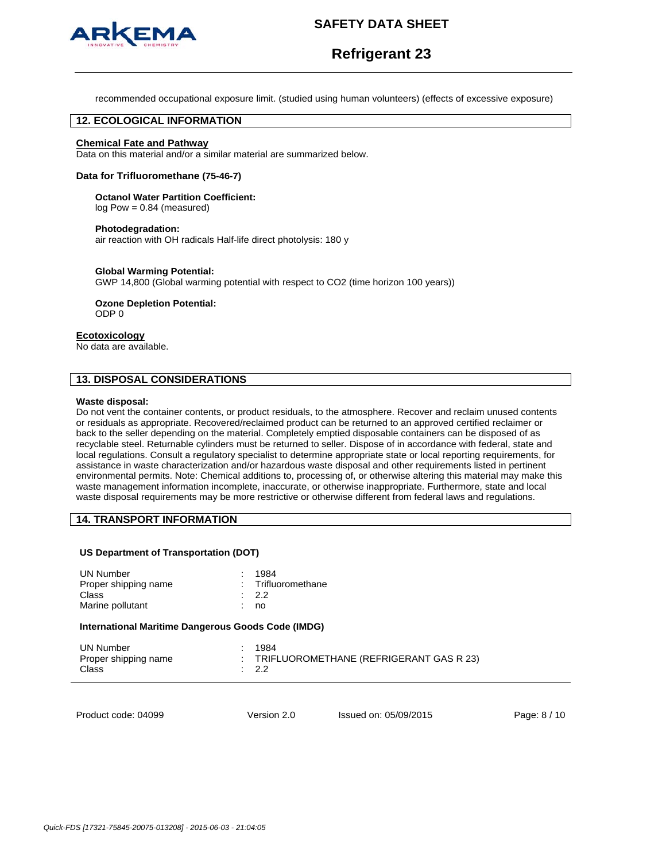

# **Refrigerant 23**

recommended occupational exposure limit. (studied using human volunteers) (effects of excessive exposure)

## **12. ECOLOGICAL INFORMATION**

## **Chemical Fate and Pathway**

Data on this material and/or a similar material are summarized below.

#### **Data for Trifluoromethane (75-46-7)**

#### **Octanol Water Partition Coefficient:**

log Pow = 0.84 (measured)

#### **Photodegradation:**

air reaction with OH radicals Half-life direct photolysis: 180 y

#### **Global Warming Potential:**

GWP 14,800 (Global warming potential with respect to CO2 (time horizon 100 years))

**Ozone Depletion Potential:**  ODP 0

#### **Ecotoxicology**

No data are available.

## **13. DISPOSAL CONSIDERATIONS**

#### **Waste disposal:**

Do not vent the container contents, or product residuals, to the atmosphere. Recover and reclaim unused contents or residuals as appropriate. Recovered/reclaimed product can be returned to an approved certified reclaimer or back to the seller depending on the material. Completely emptied disposable containers can be disposed of as recyclable steel. Returnable cylinders must be returned to seller. Dispose of in accordance with federal, state and local regulations. Consult a regulatory specialist to determine appropriate state or local reporting requirements, for assistance in waste characterization and/or hazardous waste disposal and other requirements listed in pertinent environmental permits. Note: Chemical additions to, processing of, or otherwise altering this material may make this waste management information incomplete, inaccurate, or otherwise inappropriate. Furthermore, state and local waste disposal requirements may be more restrictive or otherwise different from federal laws and regulations.

## **14. TRANSPORT INFORMATION**

#### **US Department of Transportation (DOT)**

| <b>UN Number</b><br>Proper shipping name<br>Class<br>Marine pollutant | 1984<br>٠<br>Trifluoromethane<br>-2.2<br>no |                                         |              |
|-----------------------------------------------------------------------|---------------------------------------------|-----------------------------------------|--------------|
| International Maritime Dangerous Goods Code (IMDG)                    |                                             |                                         |              |
| <b>UN Number</b><br>Proper shipping name<br>Class                     | 1984<br>٠<br>÷<br>2.2                       | TRIFLUOROMETHANE (REFRIGERANT GAS R 23) |              |
| Product code: 04099                                                   | Version 2.0                                 | Issued on: 05/09/2015                   | Page: 8 / 10 |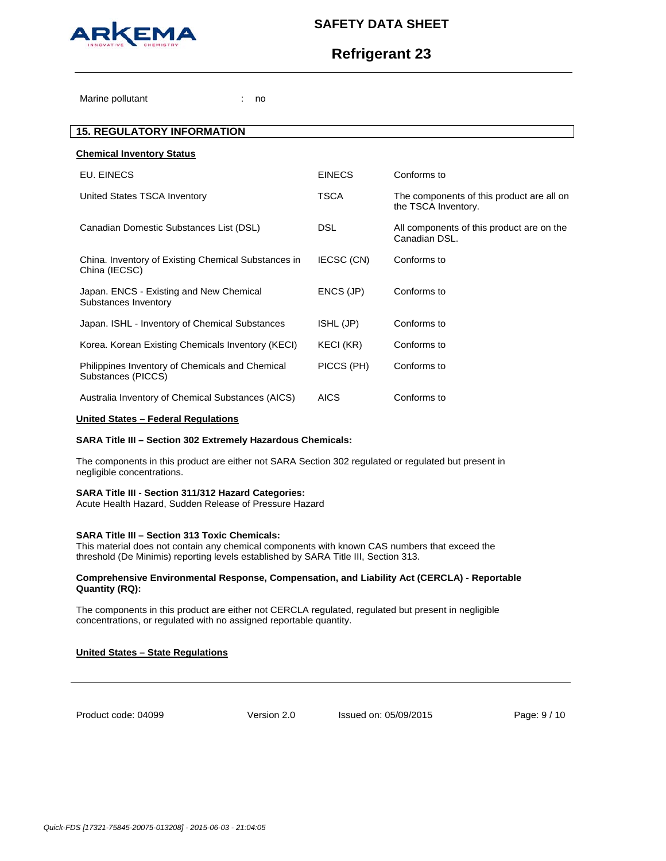

# **Refrigerant 23**

Marine pollutant in the state of the state of the state of the state of the state of the state of the state of the state of the state of the state of the state of the state of the state of the state of the state of the sta

| <b>15. REGULATORY INFORMATION</b>                                     |               |                                                                  |
|-----------------------------------------------------------------------|---------------|------------------------------------------------------------------|
| <b>Chemical Inventory Status</b>                                      |               |                                                                  |
| EU. EINECS                                                            | <b>EINECS</b> | Conforms to                                                      |
| United States TSCA Inventory                                          | <b>TSCA</b>   | The components of this product are all on<br>the TSCA Inventory. |
| Canadian Domestic Substances List (DSL)                               | <b>DSL</b>    | All components of this product are on the<br>Canadian DSL.       |
| China. Inventory of Existing Chemical Substances in<br>China (IECSC)  | IECSC (CN)    | Conforms to                                                      |
| Japan. ENCS - Existing and New Chemical<br>Substances Inventory       | ENCS (JP)     | Conforms to                                                      |
| Japan. ISHL - Inventory of Chemical Substances                        | ISHL (JP)     | Conforms to                                                      |
| Korea. Korean Existing Chemicals Inventory (KECI)                     | KECI (KR)     | Conforms to                                                      |
| Philippines Inventory of Chemicals and Chemical<br>Substances (PICCS) | PICCS (PH)    | Conforms to                                                      |
| Australia Inventory of Chemical Substances (AICS)                     | <b>AICS</b>   | Conforms to                                                      |
|                                                                       |               |                                                                  |

### **United States – Federal Regulations**

### **SARA Title III – Section 302 Extremely Hazardous Chemicals:**

The components in this product are either not SARA Section 302 regulated or regulated but present in negligible concentrations.

#### **SARA Title III - Section 311/312 Hazard Categories:**

Acute Health Hazard, Sudden Release of Pressure Hazard

#### **SARA Title III – Section 313 Toxic Chemicals:**

This material does not contain any chemical components with known CAS numbers that exceed the threshold (De Minimis) reporting levels established by SARA Title III, Section 313.

#### **Comprehensive Environmental Response, Compensation, and Liability Act (CERCLA) - Reportable Quantity (RQ):**

The components in this product are either not CERCLA regulated, regulated but present in negligible concentrations, or regulated with no assigned reportable quantity.

## **United States – State Regulations**

Product code: 04099

Version 2.0 Issued on: 05/09/2015 Page: 9 / 10